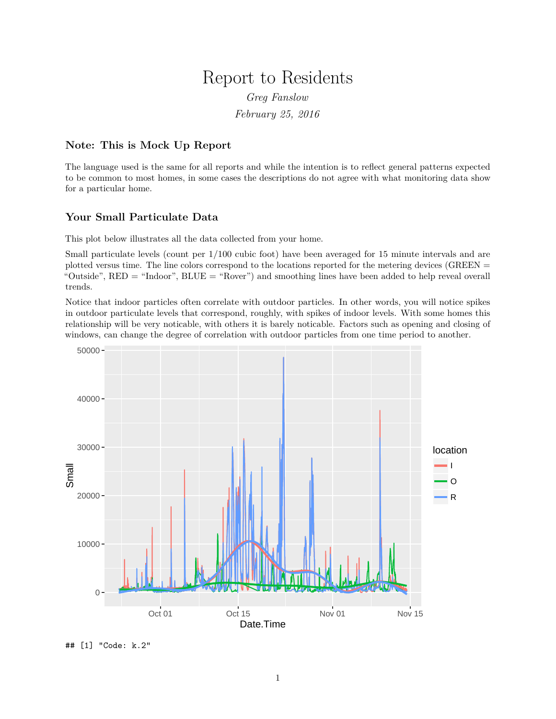# Report to Residents

*Greg Fanslow*

*February 25, 2016*

## **Note: This is Mock Up Report**

The language used is the same for all reports and while the intention is to reflect general patterns expected to be common to most homes, in some cases the descriptions do not agree with what monitoring data show for a particular home.

## **Your Small Particulate Data**

This plot below illustrates all the data collected from your home.

Small particulate levels (count per 1/100 cubic foot) have been averaged for 15 minute intervals and are plotted versus time. The line colors correspond to the locations reported for the metering devices (GREEN = "Outside", RED = "Indoor", BLUE = "Rover") and smoothing lines have been added to help reveal overall trends.

Notice that indoor particles often correlate with outdoor particles. In other words, you will notice spikes in outdoor particulate levels that correspond, roughly, with spikes of indoor levels. With some homes this relationship will be very noticable, with others it is barely noticable. Factors such as opening and closing of windows, can change the degree of correlation with outdoor particles from one time period to another.



## [1] "Code: k.2"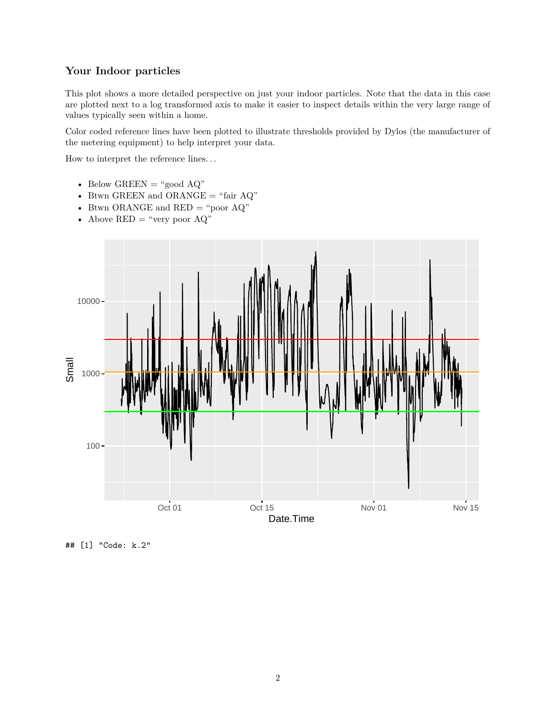## **Your Indoor particles**

This plot shows a more detailed perspective on just your indoor particles. Note that the data in this case are plotted next to a log transformed axis to make it easier to inspect details within the very large range of values typically seen within a home.

Color coded reference lines have been plotted to illustrate thresholds provided by Dylos (the manufacturer of the metering equipment) to help interpret your data.

How to interpret the reference lines. . .

- Below GREEN = "good  $\rm AQ$ "
- Btwn GREEN and ORANGE  $=$  "fair AQ"
- Btwn ORANGE and  $\mathrm{RED} =$  "poor  $\mathrm{AQ}$  "
- Above  $RED = "very poor AQ"$



## [1] "Code: k.2"